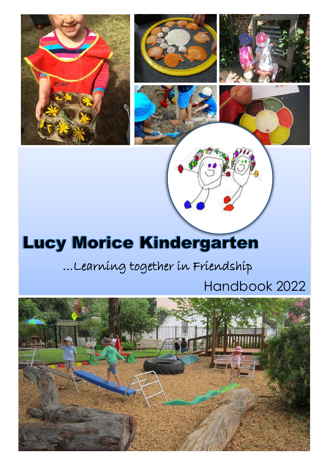

### …Learning together in Friendship

## Handbook 2022

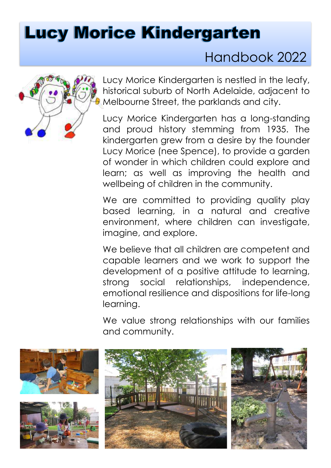## Handbook 2022



Lucy Morice Kindergarten is nestled in the leafy, historical suburb of North Adelaide, adjacent to Melbourne Street, the parklands and city.

Lucy Morice Kindergarten has a long-standing and proud history stemming from 1935. The kindergarten grew from a desire by the founder Lucy Morice (nee Spence), to provide a garden of wonder in which children could explore and learn; as well as improving the health and wellbeing of children in the community.

We are committed to providing quality play based learning, in a natural and creative environment, where children can investigate, imagine, and explore.

We believe that all children are competent and capable learners and we work to support the development of a positive attitude to learning, strong social relationships, independence, emotional resilience and dispositions for life-long learning.

We value strong relationships with our families and community.

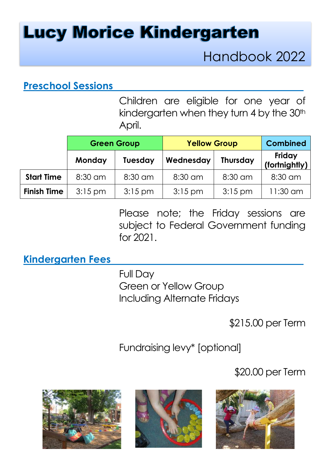## Handbook 2022

### **Preschool Sessions**

Children are eligible for one year of kindergarten when they turn 4 by the 30<sup>th</sup> April.

|                    | <b>Green Group</b> |                | <b>Yellow Group</b> |                 | <b>Combined</b>         |
|--------------------|--------------------|----------------|---------------------|-----------------|-------------------------|
|                    | Monday             | <b>Tuesday</b> | Wednesday           | <b>Thursday</b> | Friday<br>(fortnightly) |
| <b>Start Time</b>  | $8:30$ am          | 8:30 am        | 8:30 am             | 8:30 am         | 8:30 am                 |
| <b>Finish Time</b> | $3:15$ pm          | $3:15$ pm      | $3:15$ pm           | $3:15$ pm       | $11:30$ am              |

Please note; the Friday sessions are subject to Federal Government funding for 2021.

#### **Kindergarten Fees**

Full Day Green or Yellow Group Including Alternate Fridays

\$215.00 per Term

Fundraising levy\* [optional]

\$20.00 per Term





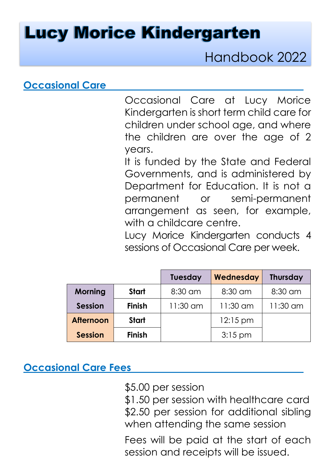Handbook 2022

### **Occasional Care**

Occasional Care at Lucy Morice Kindergarten is short term child care for children under school age, and where the children are over the age of 2 years.

It is funded by the State and Federal Governments, and is administered by Department for Education. It is not a permanent or semi-permanent arrangement as seen, for example, with a childcare centre.

Lucy Morice Kindergarten conducts 4 sessions of Occasional Care per week.

|                  |               | <b>Tuesday</b> | Wednesday          | <b>Thursday</b> |
|------------------|---------------|----------------|--------------------|-----------------|
| <b>Morning</b>   | Start         | $8:30$ am      | 8:30 am            | 8:30 am         |
| <b>Session</b>   | <b>Finish</b> | $11:30$ am     | $11:30$ am         | 11:30 am        |
| <b>Afternoon</b> | <b>Start</b>  |                | $12:15 \text{ pm}$ |                 |
| <b>Session</b>   | <b>Finish</b> |                | $3:15$ pm          |                 |

#### **Occasional Care Fees**

\$5.00 per session

\$1.50 per session with healthcare card \$2.50 per session for additional sibling when attending the same session

Fees will be paid at the start of each session and receipts will be issued.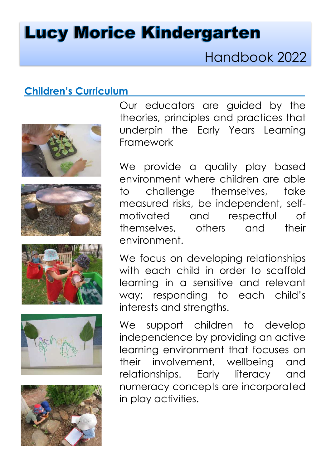Handbook 2022

#### **Children's Curriculum**











Our educators are guided by the theories, principles and practices that underpin the Early Years Learning Framework

We provide a quality play based environment where children are able to challenge themselves, take measured risks, be independent, selfmotivated and respectful of themselves, others and their environment.

We focus on developing relationships with each child in order to scaffold learning in a sensitive and relevant way; responding to each child's interests and strengths.

We support children to develop independence by providing an active learning environment that focuses on their involvement, wellbeing and relationships. Early literacy and numeracy concepts are incorporated in play activities.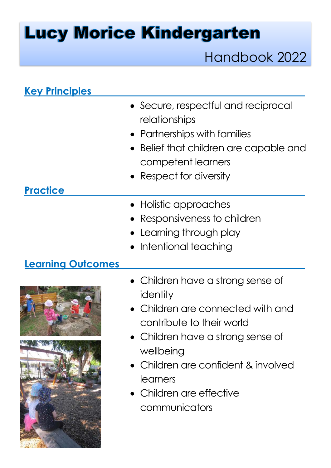Handbook 2022

| <b>Key Principles</b>    |                                                                                                                                                                               |
|--------------------------|-------------------------------------------------------------------------------------------------------------------------------------------------------------------------------|
| <b>Practice</b>          | • Secure, respectful and reciprocal<br>relationships<br>• Partnerships with families<br>Belief that children are capable and<br>competent learners<br>• Respect for diversity |
| <b>Learning Outcomes</b> | • Holistic approaches<br>Responsiveness to children<br>$\bullet\,$ Learning through play<br>• Intentional teaching                                                            |
|                          | • Children have a strong sense of<br>identity<br>• Children are connected with and<br>contribute to their world                                                               |

- Children have a strong sense of wellbeing
- Children are confident & involved learners
- Children are effective communicators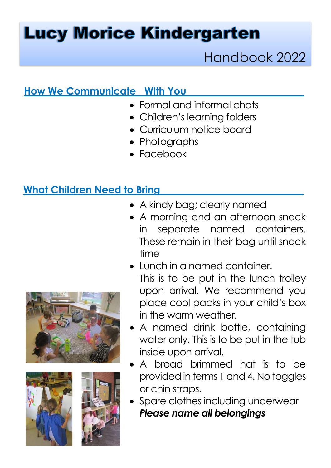## Handbook 2022

### **How We Communicate With You**

- Formal and informal chats
- Children's learning folders
- Curriculum notice board
- Photographs
- Facebook

### **What Children Need to Bring**

- A kindy bag; clearly named
- A morning and an afternoon snack in separate named containers. These remain in their bag until snack time
- Lunch in a named container. This is to be put in the lunch trolley upon arrival. We recommend you place cool packs in your child's box in the warm weather.
- A named drink bottle, containing water only. This is to be put in the tub inside upon arrival.
- A broad brimmed hat is to be provided in terms 1 and 4. No toggles or chin straps.
- Spare clothes including underwear *Please name all belongings*





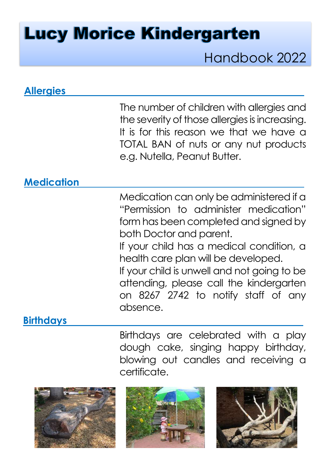## Handbook 2022

| <b>Allergies</b>  |                                                                                                                                                                                                                                                                                                                                                                                       |
|-------------------|---------------------------------------------------------------------------------------------------------------------------------------------------------------------------------------------------------------------------------------------------------------------------------------------------------------------------------------------------------------------------------------|
|                   | The number of children with allergies and<br>the severity of those allergies is increasing.<br>It is for this reason we that we have a<br>TOTAL BAN of nuts or any nut products<br>e.g. Nutella, Peanut Butter.                                                                                                                                                                       |
| <b>Medication</b> |                                                                                                                                                                                                                                                                                                                                                                                       |
| <b>Birthdays</b>  | Medication can only be administered if a<br>"Permission to administer medication"<br>form has been completed and signed by<br>both Doctor and parent.<br>If your child has a medical condition, a<br>health care plan will be developed.<br>If your child is unwell and not going to be<br>attending, please call the kindergarten<br>on 8267 2742 to notify staff of any<br>absence. |
|                   |                                                                                                                                                                                                                                                                                                                                                                                       |
|                   | Birthdays are celebrated with a play                                                                                                                                                                                                                                                                                                                                                  |

Birthdays are celebrated with a play dough cake, singing happy birthday, blowing out candles and receiving a certificate.





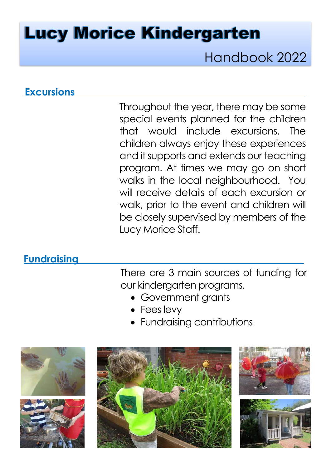Handbook 2022

#### **Excursions**

Throughout the year, there may be some special events planned for the children that would include excursions. The children always enjoy these experiences and it supports and extends our teaching program. At times we may go on short walks in the local neighbourhood. You will receive details of each excursion or walk, prior to the event and children will be closely supervised by members of the Lucy Morice Staff.

#### **Fundraising**

There are 3 main sources of funding for our kindergarten programs.

- Government grants
- Fees levy
- Fundraising contributions







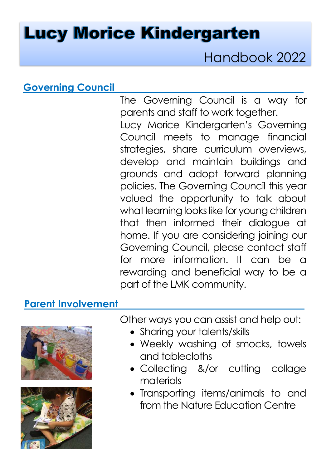Handbook 2022

#### **Governing Council**

The Governing Council is a way for parents and staff to work together. Lucy Morice Kindergarten's Governing Council meets to manage financial strategies, share curriculum overviews, develop and maintain buildings and grounds and adopt forward planning policies. The Governing Council this year valued the opportunity to talk about what learning looks like for young children that then informed their dialogue at home. If you are considering joining our Governing Council, please contact staff for more information. It can be a rewarding and beneficial way to be a part of the LMK community.

#### **Parent Involvement**





Other ways you can assist and help out:

- Sharing your talents/skills
- Weekly washing of smocks, towels and tablecloths
- Collecting &/or cutting collage materials
- Transporting items/animals to and from the Nature Education Centre